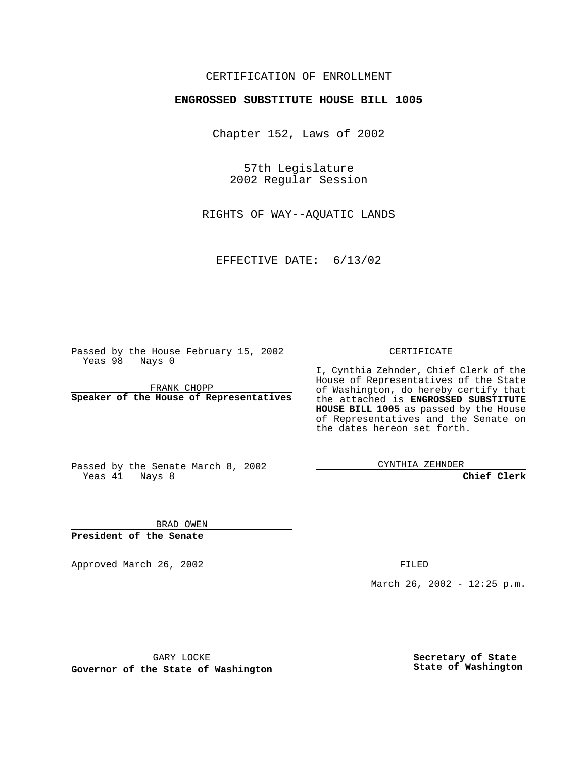## CERTIFICATION OF ENROLLMENT

## **ENGROSSED SUBSTITUTE HOUSE BILL 1005**

Chapter 152, Laws of 2002

57th Legislature 2002 Regular Session

RIGHTS OF WAY--AQUATIC LANDS

EFFECTIVE DATE: 6/13/02

Passed by the House February 15, 2002 Yeas 98 Nays 0

FRANK CHOPP **Speaker of the House of Representatives** CERTIFICATE

I, Cynthia Zehnder, Chief Clerk of the House of Representatives of the State of Washington, do hereby certify that the attached is **ENGROSSED SUBSTITUTE HOUSE BILL 1005** as passed by the House of Representatives and the Senate on the dates hereon set forth.

Passed by the Senate March 8, 2002 Yeas 41 Nays 8

CYNTHIA ZEHNDER

**Chief Clerk**

BRAD OWEN **President of the Senate**

Approved March 26, 2002 **FILED** 

March 26, 2002 - 12:25 p.m.

GARY LOCKE

**Governor of the State of Washington**

**Secretary of State State of Washington**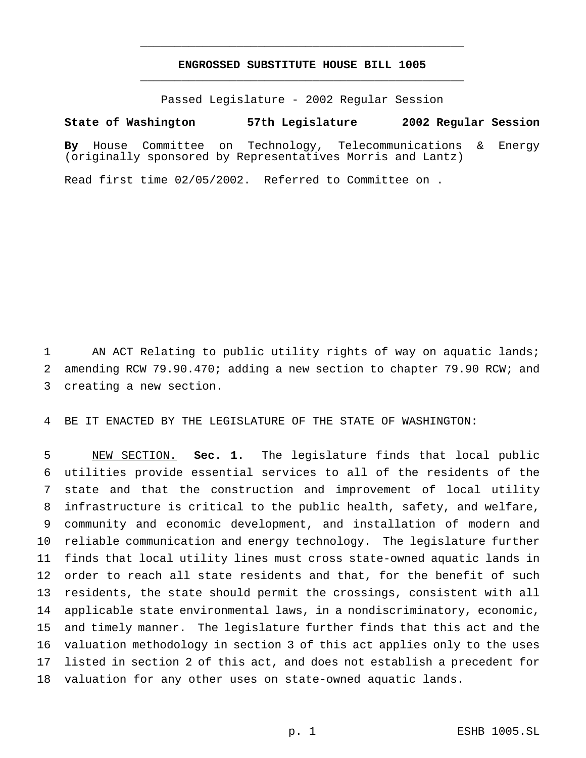## **ENGROSSED SUBSTITUTE HOUSE BILL 1005** \_\_\_\_\_\_\_\_\_\_\_\_\_\_\_\_\_\_\_\_\_\_\_\_\_\_\_\_\_\_\_\_\_\_\_\_\_\_\_\_\_\_\_\_\_\_\_

\_\_\_\_\_\_\_\_\_\_\_\_\_\_\_\_\_\_\_\_\_\_\_\_\_\_\_\_\_\_\_\_\_\_\_\_\_\_\_\_\_\_\_\_\_\_\_

Passed Legislature - 2002 Regular Session

## **State of Washington 57th Legislature 2002 Regular Session**

**By** House Committee on Technology, Telecommunications & Energy (originally sponsored by Representatives Morris and Lantz)

Read first time 02/05/2002. Referred to Committee on .

 AN ACT Relating to public utility rights of way on aquatic lands; amending RCW 79.90.470; adding a new section to chapter 79.90 RCW; and creating a new section.

BE IT ENACTED BY THE LEGISLATURE OF THE STATE OF WASHINGTON:

 NEW SECTION. **Sec. 1.** The legislature finds that local public utilities provide essential services to all of the residents of the state and that the construction and improvement of local utility infrastructure is critical to the public health, safety, and welfare, community and economic development, and installation of modern and reliable communication and energy technology. The legislature further finds that local utility lines must cross state-owned aquatic lands in order to reach all state residents and that, for the benefit of such residents, the state should permit the crossings, consistent with all applicable state environmental laws, in a nondiscriminatory, economic, and timely manner. The legislature further finds that this act and the valuation methodology in section 3 of this act applies only to the uses listed in section 2 of this act, and does not establish a precedent for valuation for any other uses on state-owned aquatic lands.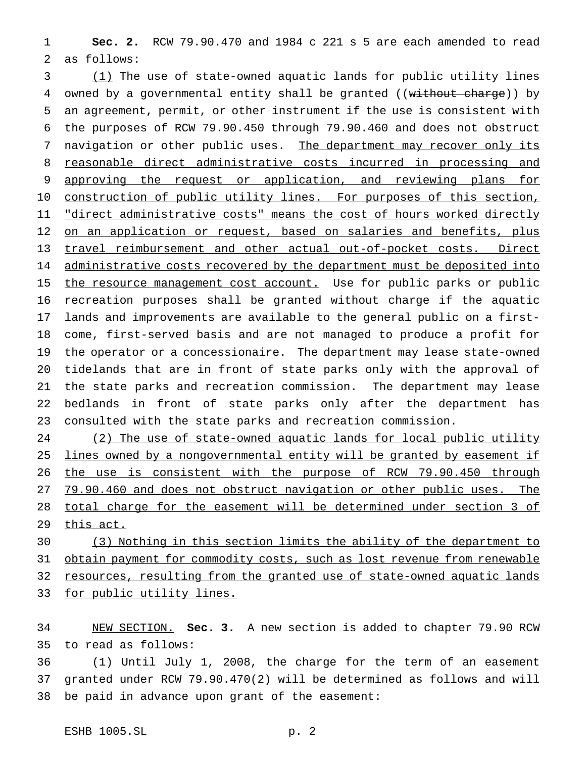**Sec. 2.** RCW 79.90.470 and 1984 c 221 s 5 are each amended to read as follows:

 (1) The use of state-owned aquatic lands for public utility lines 4 owned by a governmental entity shall be granted ((without charge)) by an agreement, permit, or other instrument if the use is consistent with the purposes of RCW 79.90.450 through 79.90.460 and does not obstruct 7 navigation or other public uses. The department may recover only its reasonable direct administrative costs incurred in processing and 9 approving the request or application, and reviewing plans for 10 construction of public utility lines. For purposes of this section, 11 "direct administrative costs" means the cost of hours worked directly 12 on an application or request, based on salaries and benefits, plus travel reimbursement and other actual out-of-pocket costs. Direct 14 administrative costs recovered by the department must be deposited into 15 the resource management cost account. Use for public parks or public recreation purposes shall be granted without charge if the aquatic lands and improvements are available to the general public on a first- come, first-served basis and are not managed to produce a profit for the operator or a concessionaire. The department may lease state-owned tidelands that are in front of state parks only with the approval of the state parks and recreation commission. The department may lease bedlands in front of state parks only after the department has consulted with the state parks and recreation commission.

24 (2) The use of state-owned aquatic lands for local public utility 25 lines owned by a nongovernmental entity will be granted by easement if 26 the use is consistent with the purpose of RCW 79.90.450 through 79.90.460 and does not obstruct navigation or other public uses. The total charge for the easement will be determined under section 3 of 29 this act.

 (3) Nothing in this section limits the ability of the department to 31 obtain payment for commodity costs, such as lost revenue from renewable resources, resulting from the granted use of state-owned aquatic lands 33 for public utility lines.

 NEW SECTION. **Sec. 3.** A new section is added to chapter 79.90 RCW to read as follows:

 (1) Until July 1, 2008, the charge for the term of an easement granted under RCW 79.90.470(2) will be determined as follows and will be paid in advance upon grant of the easement: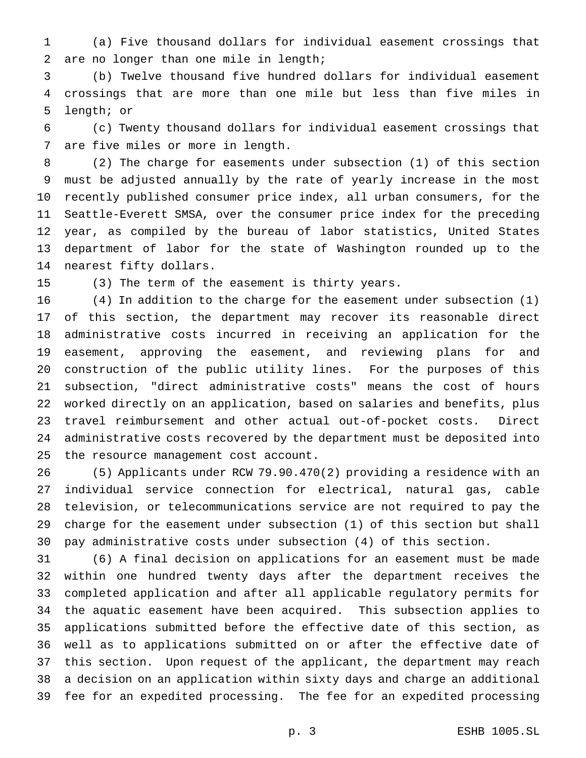(a) Five thousand dollars for individual easement crossings that are no longer than one mile in length;

 (b) Twelve thousand five hundred dollars for individual easement crossings that are more than one mile but less than five miles in length; or

 (c) Twenty thousand dollars for individual easement crossings that are five miles or more in length.

 (2) The charge for easements under subsection (1) of this section must be adjusted annually by the rate of yearly increase in the most recently published consumer price index, all urban consumers, for the Seattle-Everett SMSA, over the consumer price index for the preceding year, as compiled by the bureau of labor statistics, United States department of labor for the state of Washington rounded up to the nearest fifty dollars.

(3) The term of the easement is thirty years.

 (4) In addition to the charge for the easement under subsection (1) of this section, the department may recover its reasonable direct administrative costs incurred in receiving an application for the easement, approving the easement, and reviewing plans for and construction of the public utility lines. For the purposes of this subsection, "direct administrative costs" means the cost of hours worked directly on an application, based on salaries and benefits, plus travel reimbursement and other actual out-of-pocket costs. Direct administrative costs recovered by the department must be deposited into the resource management cost account.

 (5) Applicants under RCW 79.90.470(2) providing a residence with an individual service connection for electrical, natural gas, cable television, or telecommunications service are not required to pay the charge for the easement under subsection (1) of this section but shall pay administrative costs under subsection (4) of this section.

 (6) A final decision on applications for an easement must be made within one hundred twenty days after the department receives the completed application and after all applicable regulatory permits for the aquatic easement have been acquired. This subsection applies to applications submitted before the effective date of this section, as well as to applications submitted on or after the effective date of this section. Upon request of the applicant, the department may reach a decision on an application within sixty days and charge an additional fee for an expedited processing. The fee for an expedited processing